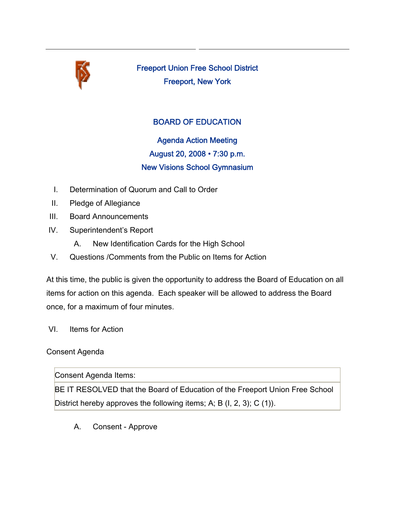

Freeport Union Free School District Freeport, New York

## BOARD OF EDUCATION

Agenda Action Meeting August 20, 2008 • 7:30 p.m. New Visions School Gymnasium

- I. Determination of Quorum and Call to Order
- II. Pledge of Allegiance
- III. Board Announcements
- IV. Superintendent's Report
	- A. New Identification Cards for the High School
- V. Questions /Comments from the Public on Items for Action

At this time, the public is given the opportunity to address the Board of Education on all items for action on this agenda. Each speaker will be allowed to address the Board once, for a maximum of four minutes.

VI. Items for Action

## Consent Agenda

Consent Agenda Items:

BE IT RESOLVED that the Board of Education of the Freeport Union Free School District hereby approves the following items; A; B (I, 2, 3); C (1)).

A. Consent - Approve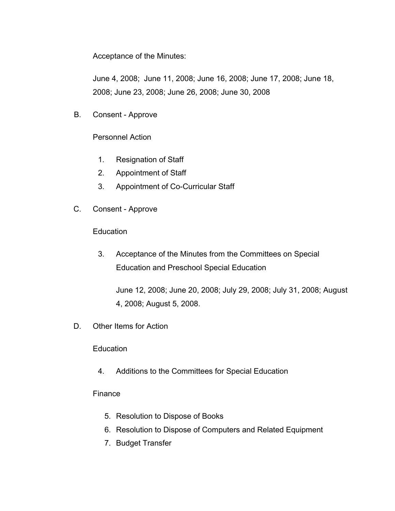Acceptance of the Minutes:

June 4, 2008; June 11, 2008; June 16, 2008; June 17, 2008; June 18, 2008; June 23, 2008; June 26, 2008; June 30, 2008

B. Consent - Approve

Personnel Action

- 1. Resignation of Staff
- 2. Appointment of Staff
- 3. Appointment of Co-Curricular Staff
- C. Consent Approve

**Education** 

3. Acceptance of the Minutes from the Committees on Special Education and Preschool Special Education

June 12, 2008; June 20, 2008; July 29, 2008; July 31, 2008; August 4, 2008; August 5, 2008.

D. Other Items for Action

**Education** 

4. Additions to the Committees for Special Education

## Finance

- 5. Resolution to Dispose of Books
- 6. Resolution to Dispose of Computers and Related Equipment
- 7. Budget Transfer